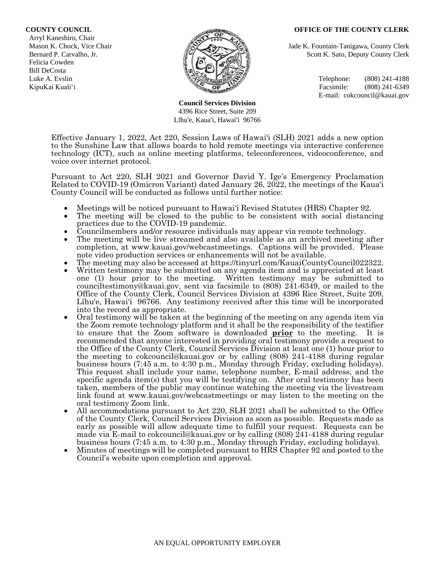#### **COUNTY COUNCIL OFFICE OF THE COUNTY CLERK**

 Arryl Kaneshiro, Chair Felicia Cowden Bill DeCosta



**Council Services Division** 4396 Rice Street, Suite 209 Līhu'e, Kaua'i, Hawai'i 96766

Mason K. Chock, Vice Chair **Jade K. Fountain-Tanigawa, County Clerk** Jade K. Fountain-Tanigawa, County Clerk Bernard P. Carvalho, Jr. Scott K. Sato, Deputy County Clerk

Luke A. Evslin  $\mathbb{R}^n$  Telephone: (808) 241-4188 KipuKai Kuali'i Facsimile: (808) 241-6349 E-mail: cokcouncil@kauai.gov

Effective January 1, 2022, Act 220, Session Laws of Hawai'i (SLH) 2021 adds a new option to the Sunshine Law that allows boards to hold remote meetings via interactive conference technology (ICT), such as online meeting platforms, teleconferences, videoconference, and voice over internet protocol.

Pursuant to Act 220, SLH 2021 and Governor David Y. Ige's Emergency Proclamation Related to COVID-19 (Omicron Variant) dated January 26, 2022, the meetings of the Kaua'i County Council will be conducted as follows until further notice:

- Meetings will be noticed pursuant to Hawai'i Revised Statutes (HRS) Chapter 92.
- The meeting will be closed to the public to be consistent with social distancing practices due to the COVID-19 pandemic.
- Councilmembers and/or resource individuals may appear via remote technology.
- The meeting will be live streamed and also available as an archived meeting after completion, at www.kauai.gov/webcastmeetings. Captions will be provided. Please note video production services or enhancements will not be available.
- The meeting may also be accessed at https://tinyurl.com/KauaiCountyCouncil022322.
- Written testimony may be submitted on any agenda item and is appreciated at least one (1) hour prior to the meeting. Written testimony may be submitted to counciltestimony@kauai.gov, sent via facsimile to (808) 241-6349, or mailed to the Office of the County Clerk, Council Services Division at 4396 Rice Street, Suite 209, Līhu'e, Hawai'i 96766. Any testimony received after this time will be incorporated into the record as appropriate.
- Oral testimony will be taken at the beginning of the meeting on any agenda item via the Zoom remote technology platform and it shall be the responsibility of the testifier to ensure that the Zoom software is downloaded **prior** to the meeting. It is recommended that anyone interested in providing oral testimony provide a request to the Office of the County Clerk, Council Services Division at least one (1) hour prior to the meeting to cokcouncil@kauai.gov or by calling (808) 241-4188 during regular business hours (7:45 a.m. to 4:30 p.m., Monday through Friday, excluding holidays). This request shall include your name, telephone number, E-mail address, and the specific agenda item(s) that you will be testifying on. After oral testimony has been taken, members of the public may continue watching the meeting via the livestream link found at www.kauai.gov/webcastmeetings or may listen to the meeting on the oral testimony Zoom link.
- All accommodations pursuant to Act 220, SLH 2021 shall be submitted to the Office of the County Clerk, Council Services Division as soon as possible. Requests made as early as possible will allow adequate time to fulfill your request. Requests can be made via E-mail to cokcouncil@kauai.gov or by calling (808) 241-4188 during regular business hours (7:45 a.m. to 4:30 p.m., Monday through Friday, excluding holidays).
- Minutes of meetings will be completed pursuant to HRS Chapter 92 and posted to the Council's website upon completion and approval.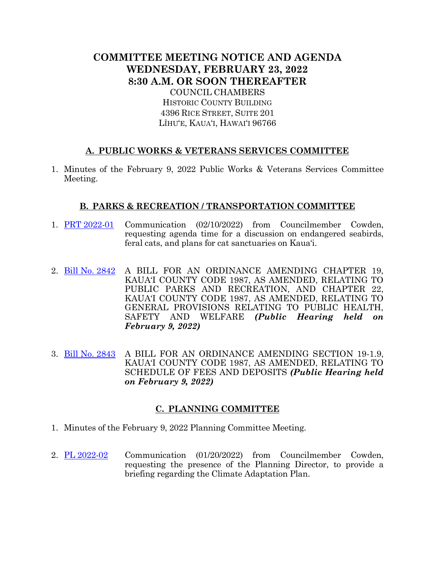# **COMMITTEE MEETING NOTICE AND AGENDA WEDNESDAY, FEBRUARY 23, 2022 8:30 A.M. OR SOON THEREAFTER**

COUNCIL CHAMBERS HISTORIC COUNTY BUILDING 4396 RICE STREET, SUITE 201 LĪHU'E, KAUA'I, HAWAI'I 96766

# **A. PUBLIC WORKS & VETERANS SERVICES COMMITTEE**

1. Minutes of the February 9, 2022 Public Works & Veterans Services Committee Meeting.

## **B. PARKS & RECREATION / TRANSPORTATION COMMITTEE**

- 1. PRT [2022-01](https://kauai.granicus.com/MetaViewer.php?view_id=&event_id=1005&meta_id=156755) Communication (02/10/2022) from Councilmember Cowden, requesting agenda time for a discussion on endangered seabirds, feral cats, and plans for cat sanctuaries on Kaua'i.
- 2. [Bill No. 2842](https://kauai.granicus.com/MetaViewer.php?view_id=&event_id=1005&meta_id=156757) A BILL FOR AN ORDINANCE AMENDING CHAPTER 19, KAUA'I COUNTY CODE 1987, AS AMENDED, RELATING TO PUBLIC PARKS AND RECREATION, AND CHAPTER 22, KAUA'I COUNTY CODE 1987, AS AMENDED, RELATING TO GENERAL PROVISIONS RELATING TO PUBLIC HEALTH, SAFETY AND WELFARE *(Public Hearing held on February 9, 2022)*
- 3. [Bill No. 2843](https://kauai.granicus.com/MetaViewer.php?view_id=&event_id=1005&meta_id=156759) A BILL FOR AN ORDINANCE AMENDING SECTION 19-1.9, KAUA'I COUNTY CODE 1987, AS AMENDED, RELATING TO SCHEDULE OF FEES AND DEPOSITS *(Public Hearing held on February 9, 2022)*

## **C. PLANNING COMMITTEE**

- 1. Minutes of the February 9, 2022 Planning Committee Meeting.
- 2. [PL 2022-02](https://kauai.granicus.com/MetaViewer.php?view_id=&event_id=1005&meta_id=156761) Communication (01/20/2022) from Councilmember Cowden, requesting the presence of the Planning Director, to provide a briefing regarding the Climate Adaptation Plan.